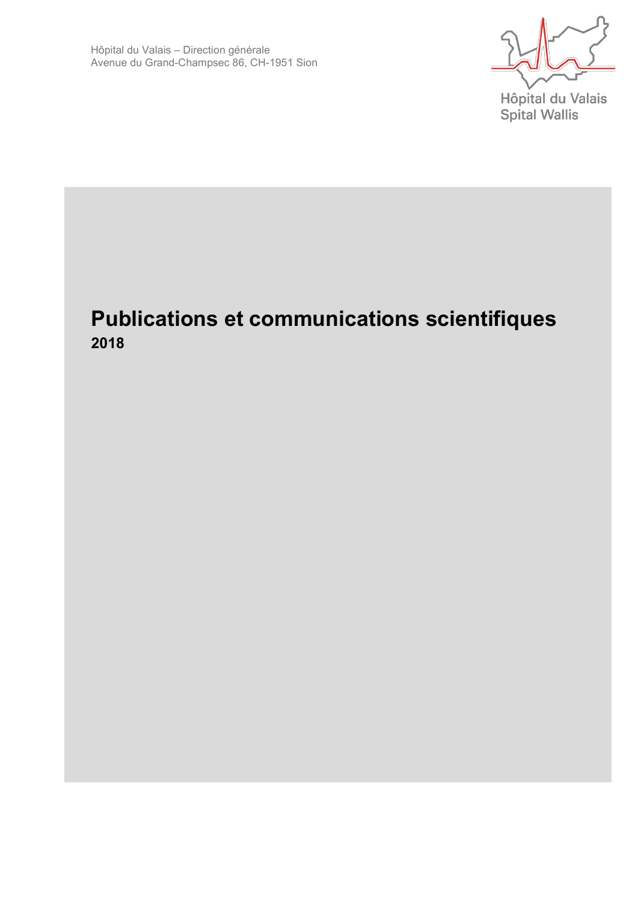Hôpital du Valais **Spital Wallis** 

# **Publications et communications scientifiques 2018**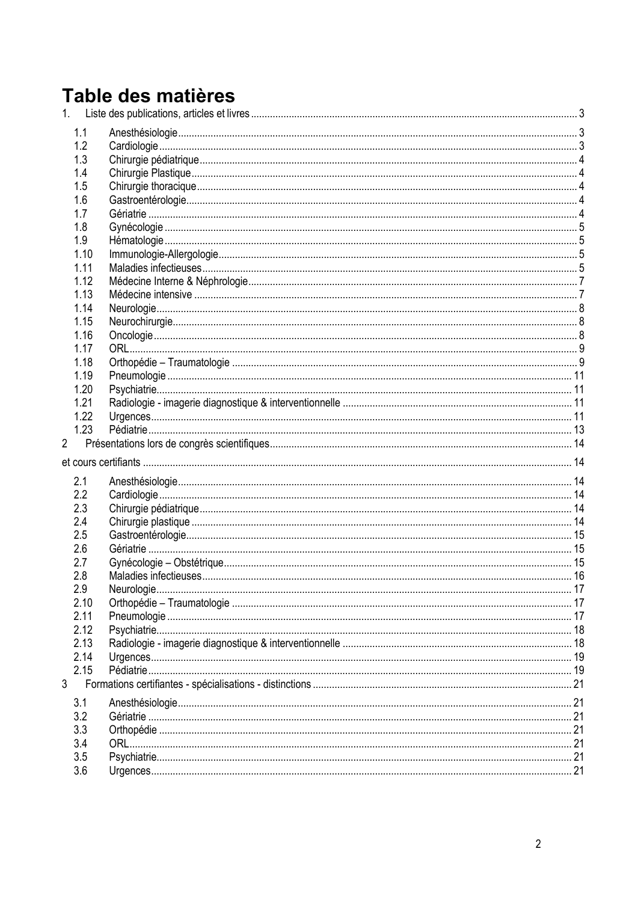# Table des matières

|                | 1.1  |  |  |
|----------------|------|--|--|
|                | 1.2  |  |  |
|                | 1.3  |  |  |
|                | 1.4  |  |  |
|                | 1.5  |  |  |
|                | 1.6  |  |  |
|                | 1.7  |  |  |
|                | 1.8  |  |  |
|                | 1.9  |  |  |
|                | 1.10 |  |  |
|                | 1.11 |  |  |
|                | 1.12 |  |  |
|                | 1.13 |  |  |
|                | 1.14 |  |  |
|                | 1.15 |  |  |
|                | 1.16 |  |  |
|                | 1.17 |  |  |
|                | 1.18 |  |  |
|                | 1.19 |  |  |
|                | 1.20 |  |  |
|                | 1.21 |  |  |
|                | 1.22 |  |  |
|                | 1.23 |  |  |
|                |      |  |  |
|                |      |  |  |
|                | 2.1  |  |  |
|                | 2.2  |  |  |
|                | 2.3  |  |  |
|                | 2.4  |  |  |
|                | 2.5  |  |  |
|                | 2.6  |  |  |
|                | 2.7  |  |  |
|                | 2.8  |  |  |
|                | 2.9  |  |  |
|                | 2.10 |  |  |
|                | 2.11 |  |  |
|                | 2.12 |  |  |
|                | 2.13 |  |  |
|                | 2.14 |  |  |
|                | 2.15 |  |  |
| $\mathfrak{Z}$ |      |  |  |
|                |      |  |  |
|                | 3.1  |  |  |
|                | 3.2  |  |  |
|                | 3.3  |  |  |
|                | 3.4  |  |  |
|                | 3.5  |  |  |
|                | 3.6  |  |  |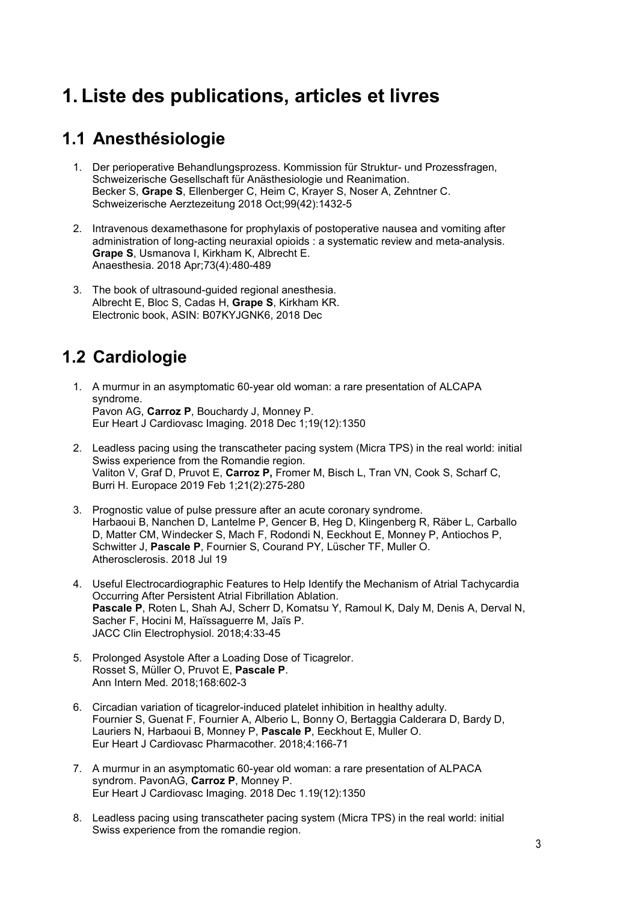# <span id="page-2-0"></span>**1. Liste des publications, articles et livres**

#### <span id="page-2-1"></span>**1.1 Anesthésiologie**

- 1. Der perioperative Behandlungsprozess. Kommission für Struktur- und Prozessfragen, Schweizerische Gesellschaft für Anästhesiologie und Reanimation. Becker S, **Grape S**, Ellenberger C, Heim C, Krayer S, Noser A, Zehntner C. Schweizerische Aerztezeitung 2018 Oct;99(42):1432-5
- 2. Intravenous dexamethasone for prophylaxis of postoperative nausea and vomiting after administration of long-acting neuraxial opioids : a systematic review and meta-analysis. **Grape S**, Usmanova I, Kirkham K, Albrecht E. Anaesthesia. 2018 Apr;73(4):480-489
- 3. The book of ultrasound-guided regional anesthesia. Albrecht E, Bloc S, Cadas H, **Grape S**, Kirkham KR. Electronic book, ASIN: B07KYJGNK6, 2018 Dec

# <span id="page-2-2"></span>**1.2 Cardiologie**

- 1. A murmur in an asymptomatic 60-year old woman: a rare presentation of ALCAPA syndrome. Pavon AG, **Carroz P**, Bouchardy J, Monney P. Eur Heart J Cardiovasc Imaging. 2018 Dec 1;19(12):1350
- 2. Leadless pacing using the transcatheter pacing system (Micra TPS) in the real world: initial Swiss experience from the Romandie region. Valiton V, Graf D, Pruvot E, **Carroz P,** Fromer M, Bisch L, Tran VN, Cook S, Scharf C, Burri H. Europace 2019 Feb 1;21(2):275-280
- 3. Prognostic value of pulse pressure after an acute coronary syndrome. Harbaoui B, Nanchen D, Lantelme P, Gencer B, Heg D, Klingenberg R, Räber L, Carballo D, Matter CM, Windecker S, Mach F, Rodondi N, Eeckhout E, Monney P, Antiochos P, Schwitter J, **Pascale P**, Fournier S, Courand PY, Lüscher TF, Muller O. Atherosclerosis. 2018 Jul 19
- 4. Useful Electrocardiographic Features to Help Identify the Mechanism of Atrial Tachycardia Occurring After Persistent Atrial Fibrillation Ablation. **Pascale P**, Roten L, Shah AJ, Scherr D, Komatsu Y, Ramoul K, Daly M, Denis A, Derval N, Sacher F, Hocini M, Haïssaguerre M, Jaïs P. JACC Clin Electrophysiol. 2018;4:33-45
- 5. Prolonged Asystole After a Loading Dose of Ticagrelor. Rosset S, Müller O, Pruvot E, **Pascale P**. Ann Intern Med. 2018;168:602-3
- 6. Circadian variation of ticagrelor-induced platelet inhibition in healthy adulty. Fournier S, Guenat F, Fournier A, Alberio L, Bonny O, Bertaggia Calderara D, Bardy D, Lauriers N, Harbaoui B, Monney P, **Pascale P**, Eeckhout E, Muller O. Eur Heart J Cardiovasc Pharmacother. 2018;4:166-71
- 7. A murmur in an asymptomatic 60-year old woman: a rare presentation of ALPACA syndrom. PavonAG, **Carroz P**, Monney P. Eur Heart J Cardiovasc Imaging. 2018 Dec 1.19(12):1350
- 8. Leadless pacing using transcatheter pacing system (Micra TPS) in the real world: initial Swiss experience from the romandie region.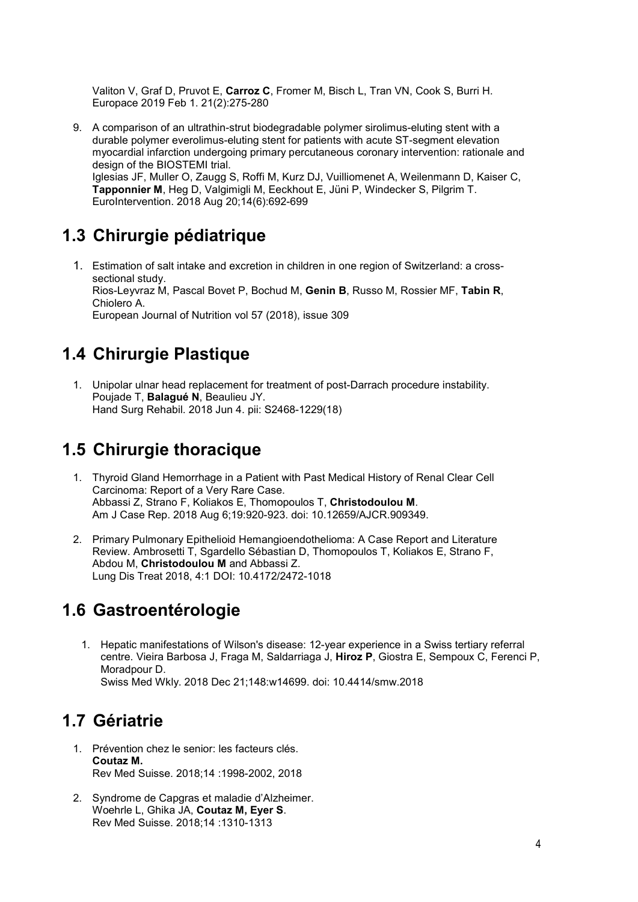Valiton V, Graf D, Pruvot E, **Carroz C**, Fromer M, Bisch L, Tran VN, Cook S, Burri H. Europace 2019 Feb 1. 21(2):275-280

9. A comparison of an ultrathin-strut biodegradable polymer sirolimus-eluting stent with a durable polymer everolimus-eluting stent for patients with acute ST-segment elevation myocardial infarction undergoing primary percutaneous coronary intervention: rationale and design of the BIOSTEMI trial. Iglesias JF, Muller O, Zaugg S, Roffi M, Kurz DJ, Vuilliomenet A, Weilenmann D, Kaiser C, **Tapponnier M**, Heg D, Valgimigli M, Eeckhout E, Jüni P, Windecker S, Pilgrim T. EuroIntervention. 2018 Aug 20;14(6):692-699

#### <span id="page-3-0"></span>**1.3 Chirurgie pédiatrique**

1. Estimation of salt intake and excretion in children in one region of Switzerland: a crosssectional study. Rios-Leyvraz M, Pascal Bovet P, Bochud M, **Genin B**, Russo M, Rossier MF, **Tabin R**, Chiolero A. European Journal of Nutrition vol 57 (2018), issue 309

#### <span id="page-3-1"></span>**1.4 Chirurgie Plastique**

1. Unipolar ulnar head replacement for treatment of post-Darrach procedure instability. Poujade T, **Balagué N**, Beaulieu JY. Hand Surg Rehabil. 2018 Jun 4. pii: S2468-1229(18)

### <span id="page-3-2"></span>**1.5 Chirurgie thoracique**

- 1. Thyroid Gland Hemorrhage in a Patient with Past Medical History of Renal Clear Cell Carcinoma: Report of a Very Rare Case. Abbassi Z, Strano F, Koliakos E, Thomopoulos T, **Christodoulou M**. Am J Case Rep. 2018 Aug 6;19:920-923. doi: 10.12659/AJCR.909349.
- 2. Primary Pulmonary Epithelioid Hemangioendothelioma: A Case Report and Literature Review. Ambrosetti T, Sgardello Sébastian D, Thomopoulos T, Koliakos E, Strano F, Abdou M, **Christodoulou M** and Abbassi Z. Lung Dis Treat 2018, 4:1 DOI: 10.4172/2472-1018

#### <span id="page-3-3"></span>**1.6 Gastroentérologie**

1. Hepatic manifestations of Wilson's disease: 12-year experience in a Swiss tertiary referral centre. Vieira Barbosa J, Fraga M, Saldarriaga J, **Hiroz P**, Giostra E, Sempoux C, Ferenci P, Moradpour D. Swiss Med Wkly. 2018 Dec 21;148:w14699. doi: 10.4414/smw.2018

#### <span id="page-3-4"></span>**1.7 Gériatrie**

- 1. Prévention chez le senior: les facteurs clés. **Coutaz M.** Rev Med Suisse. 2018;14 :1998-2002, 2018
- 2. Syndrome de Capgras et maladie d'Alzheimer. Woehrle L, Ghika JA, **Coutaz M, Eyer S**. Rev Med Suisse. 2018;14 :1310-1313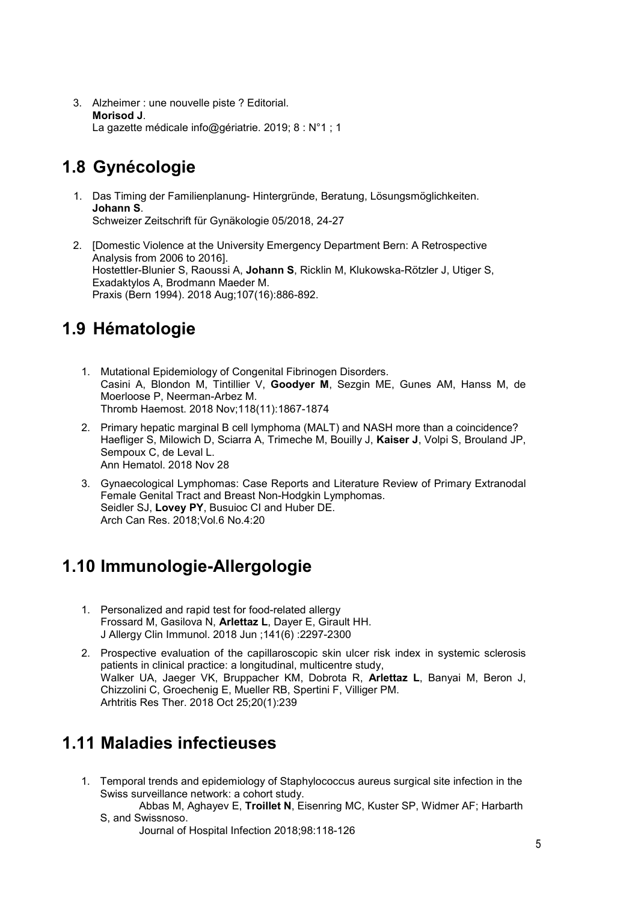3. Alzheimer : une nouvelle piste ? Editorial. **Morisod J**. La gazette médicale info@gériatrie. 2019; 8 : N°1 ; 1

# <span id="page-4-0"></span>**1.8 Gynécologie**

- 1. Das Timing der Familienplanung- Hintergründe, Beratung, Lösungsmöglichkeiten. **Johann S**. [Schweizer Zeitschrift für Gynäkologie 05/2018,](https://www.rosenfluh.ch/gynaekologie-2018-05) 24-27
- 2. [Domestic Violence at the University Emergency Department Bern: A Retrospective Analysis from 2006 to 2016]. Hostettler-Blunier S, Raoussi A, **Johann S**, Ricklin M, Klukowska-Rötzler J, Utiger S, Exadaktylos A, Brodmann Maeder M. Praxis (Bern 1994). 2018 Aug;107(16):886-892.

# <span id="page-4-1"></span>**1.9 Hématologie**

- 1. Mutational Epidemiology of Congenital Fibrinogen Disorders. Casini A, Blondon M, Tintillier V, **Goodyer M**, Sezgin ME, Gunes AM, Hanss M, de Moerloose P, Neerman-Arbez M. [Thromb Haemost.](https://www.ncbi.nlm.nih.gov/pubmed/30332696) 2018 Nov;118(11):1867-1874
- 2. Primary hepatic marginal B cell lymphoma (MALT) and NASH more than a coincidence? Haefliger S, Milowich D, Sciarra A, Trimeche M, Bouilly J, **Kaiser J**, Volpi S, Brouland JP, Sempoux C, de Leval L. Ann Hematol. 2018 Nov 28
- 3. Gynaecological Lymphomas: Case Reports and Literature Review of Primary Extranodal Female Genital Tract and Breast Non-Hodgkin Lymphomas. Seidler SJ, **Lovey PY**, Busuioc CI and Huber DE. Arch Can Res. 2018;Vol.6 No.4:20

# <span id="page-4-2"></span>**1.10 Immunologie-Allergologie**

- 1. Personalized and rapid test for food-related allergy Frossard M, Gasilova N, **Arlettaz L**, Dayer E, Girault HH. J Allergy Clin Immunol. 2018 Jun ;141(6) :2297-2300
- 2. Prospective evaluation of the capillaroscopic skin ulcer risk index in systemic sclerosis patients in clinical practice: a longitudinal, multicentre study, Walker UA, Jaeger VK, Bruppacher KM, Dobrota R, **Arlettaz L**, Banyai M, Beron J, Chizzolini C, Groechenig E, Mueller RB, Spertini F, Villiger PM. Arhtritis Res Ther. 2018 Oct 25;20(1):239

# <span id="page-4-3"></span>**1.11 Maladies infectieuses**

- 1. Temporal trends and epidemiology of Staphylococcus aureus surgical site infection in the Swiss surveillance network: a cohort study.
	- Abbas M, Aghayev E, **Troillet N**, Eisenring MC, Kuster SP, Widmer AF; Harbarth S, and Swissnoso.
		- Journal of Hospital Infection 2018;98:118-126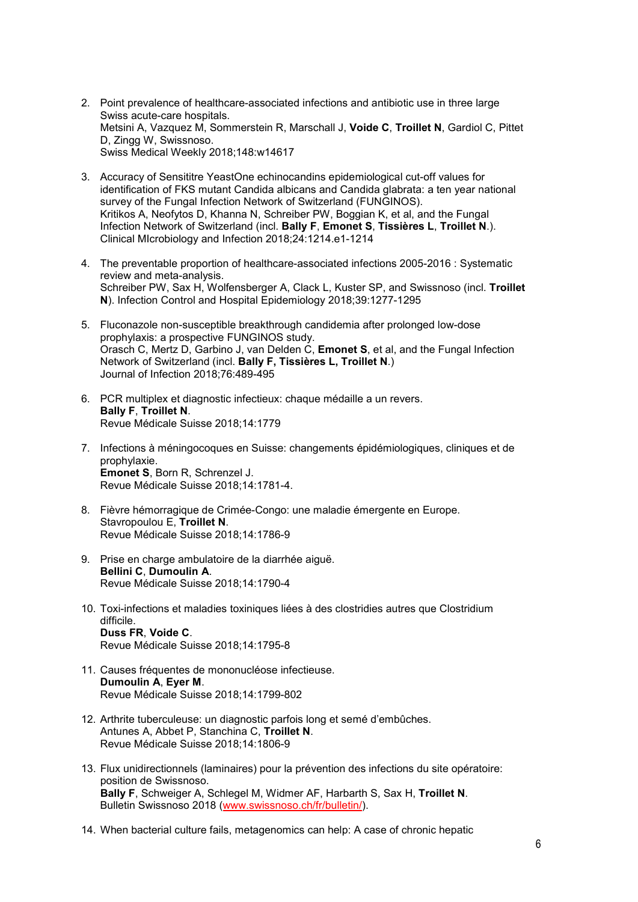- 2. Point prevalence of healthcare-associated infections and antibiotic use in three large Swiss acute-care hospitals. Metsini A, Vazquez M, Sommerstein R, Marschall J, **Voide C**, **Troillet N**, Gardiol C, Pittet D, Zingg W, Swissnoso. Swiss Medical Weekly 2018;148:w14617
- 3. Accuracy of Sensititre YeastOne echinocandins epidemiological cut-off values for identification of FKS mutant Candida albicans and Candida glabrata: a ten year national survey of the Fungal Infection Network of Switzerland (FUNGINOS). [Kritikos A,](https://www.ncbi.nlm.nih.gov/pubmed/?term=Kritikos%20A%5BAuthor%5D&cauthor=true&cauthor_uid=29909005) [Neofytos D,](https://www.ncbi.nlm.nih.gov/pubmed/?term=Neofytos%20D%5BAuthor%5D&cauthor=true&cauthor_uid=29909005) [Khanna N,](https://www.ncbi.nlm.nih.gov/pubmed/?term=Khanna%20N%5BAuthor%5D&cauthor=true&cauthor_uid=29909005) [Schreiber PW,](https://www.ncbi.nlm.nih.gov/pubmed/?term=Schreiber%20PW%5BAuthor%5D&cauthor=true&cauthor_uid=29909005) [Boggian K,](https://www.ncbi.nlm.nih.gov/pubmed/?term=Boggian%20K%5BAuthor%5D&cauthor=true&cauthor_uid=29909005) et al, and the [Fungal](https://www.ncbi.nlm.nih.gov/pubmed/?term=Fungal%20Infection%20Network%20of%20Switzerland%20(FUNGINOS)%5BCorporate%20Author%5D)  [Infection Network of Switzerland \(incl.](https://www.ncbi.nlm.nih.gov/pubmed/?term=Fungal%20Infection%20Network%20of%20Switzerland%20(FUNGINOS)%5BCorporate%20Author%5D) **Bally F**, **Emonet S**, **Tissières L**, **Troillet N**.). Clinical MIcrobiology and Infection 2018;24:1214.e1-1214
- 4. The preventable proportion of healthcare-associated infections 2005-2016 : Systematic review and meta-analysis. Schreiber PW, Sax H, Wolfensberger A, Clack L, Kuster SP, and Swissnoso (incl. **Troillet N**). Infection Control and Hospital Epidemiology 2018;39:1277-1295
- 5. [Fluconazole non-susceptible breakthrough candidemia after prolonged low-dose](https://www.ncbi.nlm.nih.gov/pubmed/29378240)  [prophylaxis: a prospective FUNGINOS study.](https://www.ncbi.nlm.nih.gov/pubmed/29378240) Orasch C, Mertz D, Garbino J, van Delden C, **Emonet S**, et al, and the Fungal Infection Network of Switzerland (incl. **Bally F, Tissières L, Troillet N**.) Journal of Infection 2018;76:489-495
- 6. PCR multiplex et diagnostic infectieux: chaque médaille a un revers. **Bally F**, **Troillet N**. Revue Médicale Suisse 2018;14:1779
- 7. Infections à méningocoques en Suisse: changements épidémiologiques, cliniques et de prophylaxie. **Emonet S**, Born R, Schrenzel J. Revue Médicale Suisse 2018;14:1781-4.
- 8. Fièvre hémorragique de Crimée-Congo: une maladie émergente en Europe. Stavropoulou E, **Troillet N**. Revue Médicale Suisse 2018;14:1786-9
- 9. Prise en charge ambulatoire de la diarrhée aiguë. **Bellini C**, **Dumoulin A**. Revue Médicale Suisse 2018;14:1790-4
- 10. Toxi-infections et maladies toxiniques liées à des clostridies autres que Clostridium difficile. **Duss FR**, **Voide C**. Revue Médicale Suisse 2018;14:1795-8
- 11. Causes fréquentes de mononucléose infectieuse. **Dumoulin A**, **Eyer M**. Revue Médicale Suisse 2018;14:1799-802
- 12. Arthrite tuberculeuse: un diagnostic parfois long et semé d'embûches. Antunes A, Abbet P, Stanchina C, **Troillet N**. Revue Médicale Suisse 2018;14:1806-9
- 13. Flux unidirectionnels (laminaires) pour la prévention des infections du site opératoire: position de Swissnoso. **Bally F**, Schweiger A, Schlegel M, Widmer AF, Harbarth S, Sax H, **Troillet N**. Bulletin Swissnoso 2018 [\(www.swissnoso.ch/fr/bulletin/\)](http://www.swissnoso.ch/fr/bulletin/).
- 14. When bacterial culture [fails, metagenomics can help: A case of chronic hepatic](https://www.ncbi.nlm.nih.gov/pubmed/30065706)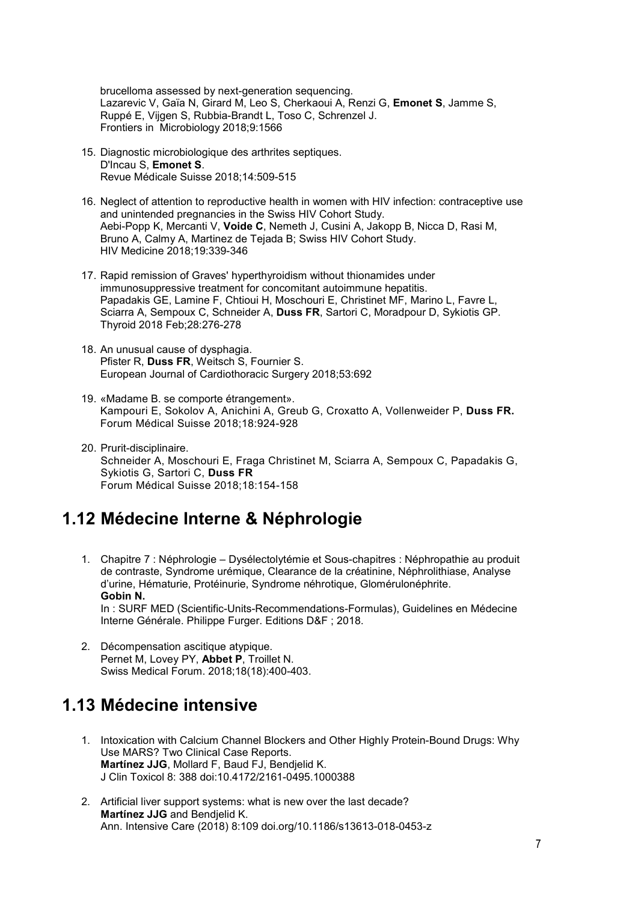[brucelloma assessed by next-generation sequencing.](https://www.ncbi.nlm.nih.gov/pubmed/30065706) Lazarevic V, Gaïa N, Girard M, Leo S, Cherkaoui A, Renzi G, **Emonet S**, Jamme S, Ruppé E, Vijgen S, Rubbia-Brandt L, Toso C, Schrenzel J. Frontiers in Microbiology 2018;9:1566

- 15. [Diagnostic microbiologique des arthrites septiques.](https://www.ncbi.nlm.nih.gov/pubmed/29512947) D'Incau S, **Emonet S**. Revue Médicale Suisse 2018;14:509-515
- 16. [Neglect of attention to reproductive health in women with HIV infection: contraceptive use](https://www.ncbi.nlm.nih.gov/pubmed/29336516)  [and unintended pregnancies in the Swiss HIV Cohort Study.](https://www.ncbi.nlm.nih.gov/pubmed/29336516) Aebi-Popp K, Mercanti V, **Voide C**, Nemeth J, Cusini A, Jakopp B, Nicca D, Rasi M, Bruno A, Calmy A, Martinez de Tejada B; Swiss HIV Cohort Study. HIV Medicine 2018;19:339-346
- 17. [Rapid remission of Graves' hyperthyroidism without thionamides under](https://www.ncbi.nlm.nih.gov/pubmed/29336235)  [immunosuppressive treatment for concomitant autoimmune hepatitis.](https://www.ncbi.nlm.nih.gov/pubmed/29336235) Papadakis GE, Lamine F, Chtioui H, Moschouri E, Christinet MF, Marino L, Favre L, Sciarra A, Sempoux C, Schneider A, **Duss FR**, Sartori C, Moradpour D, Sykiotis GP. Thyroid 2018 Feb;28:276-278
- 18. [An unusual cause of dysphagia.](https://www.ncbi.nlm.nih.gov/pubmed/29155977) Pfister R, **Duss FR**, Weitsch S, Fournier S. European Journal of Cardiothoracic Surgery 2018;53:692
- 19. [«Madame B. se comporte étrangement».](https://medicalforum.ch/fr/article/doi/fms.2018.03411/)  Kampouri E, Sokolov A, Anichini A, Greub G, Croxatto A, Vollenweider P, **Duss FR.** Forum Médical Suisse 2018;18:924-928
- 20. [Prurit-disciplinaire.](https://medicalforum.ch/fr/article/doi/fms.2018.03153/)  Schneider A, Moschouri E, Fraga Christinet M, Sciarra A, Sempoux C, Papadakis G, Sykiotis G, Sartori C, **Duss FR** Forum Médical Suisse 2018;18:154-158

#### <span id="page-6-0"></span>**1.12 Médecine Interne & Néphrologie**

- 1. Chapitre 7 : Néphrologie Dysélectolytémie et Sous-chapitres : Néphropathie au produit de contraste, Syndrome urémique, Clearance de la créatinine, Néphrolithiase, Analyse d'urine, Hématurie, Protéinurie, Syndrome néhrotique, Glomérulonéphrite. **Gobin N.** In : SURF MED (Scientific-Units-Recommendations-Formulas), Guidelines en Médecine Interne Générale. Philippe Furger. Editions D&F ; 2018.
- 2. Décompensation ascitique atypique. Pernet M, Lovey PY, **Abbet P**, Troillet N. Swiss Medical Forum. 2018;18(18):400-403.

#### <span id="page-6-1"></span>**1.13 Médecine intensive**

- 1. Intoxication with Calcium Channel Blockers and Other Highly Protein-Bound Drugs: Why Use MARS? Two Clinical Case Reports. **Martínez JJG**, Mollard F, Baud FJ, Bendjelid K. J Clin Toxicol 8: 388 doi:10.4172/2161-0495.1000388
- 2. Artificial liver support systems: what is new over the last decade? **Martínez JJG** and Bendjelid K. Ann. Intensive Care (2018) 8:109 doi.org/10.1186/s13613-018-0453-z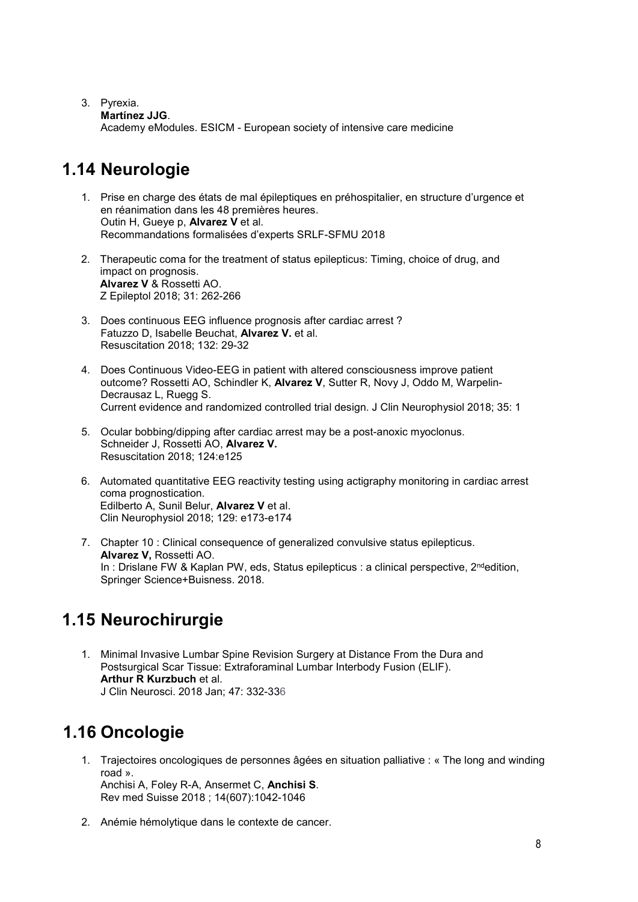#### 3. Pyrexia.

**Martínez JJG**.

Academy eModules. ESICM - European society of intensive care medicine

# <span id="page-7-0"></span>**1.14 Neurologie**

- 1. Prise en charge des états de mal épileptiques en préhospitalier, en structure d'urgence et en réanimation dans les 48 premières heures. Outin H, Gueye p, **Alvarez V** et al. Recommandations formalisées d'experts SRLF-SFMU 2018
- 2. Therapeutic coma for the treatment of status epilepticus: Timing, choice of drug, and impact on prognosis. **Alvarez V** & Rossetti AO. Z Epileptol 2018; 31: 262-266
- 3. Does continuous EEG influence prognosis after cardiac arrest ? Fatuzzo D, Isabelle Beuchat, **Alvarez V.** et al. Resuscitation 2018; 132: 29-32
- 4. Does Continuous Video-EEG in patient with altered consciousness improve patient outcome? Rossetti AO, Schindler K, **Alvarez V**, Sutter R, Novy J, Oddo M, Warpelin-Decrausaz L, Ruegg S. Current evidence and randomized controlled trial design. J Clin Neurophysiol 2018; 35: 1
- 5. Ocular bobbing/dipping after cardiac arrest may be a post-anoxic myoclonus. Schneider J, Rossetti AO, **Alvarez V.** Resuscitation 2018; 124:e125
- 6. Automated quantitative EEG reactivity testing using actigraphy monitoring in cardiac arrest coma prognostication. Edilberto A, Sunil Belur, **Alvarez V** et al. Clin Neurophysiol 2018; 129: e173-e174
- 7. Chapter 10 : Clinical consequence of generalized convulsive status epilepticus. **Alvarez V,** Rossetti AO. In : Drislane FW & Kaplan PW, eds, Status epilepticus : a clinical perspective, 2<sup>nd</sup>edition, Springer Science+Buisness. 2018.

# <span id="page-7-1"></span>**1.15 Neurochirurgie**

1. Minimal Invasive Lumbar Spine Revision Surgery at Distance From the Dura and Postsurgical Scar Tissue: Extraforaminal Lumbar Interbody Fusion (ELIF). **Arthur R Kurzbuch** et al. J Clin Neurosci. 2018 Jan; 47: 332-336

# <span id="page-7-2"></span>**1.16 Oncologie**

1. Trajectoires oncologiques de personnes âgées en situation palliative : « The long and winding road ». Anchisi A, Foley R-A, Ansermet C, **Anchisi S**.

Rev med Suisse 2018 ; 14(607):1042-1046

2. Anémie hémolytique dans le contexte de cancer.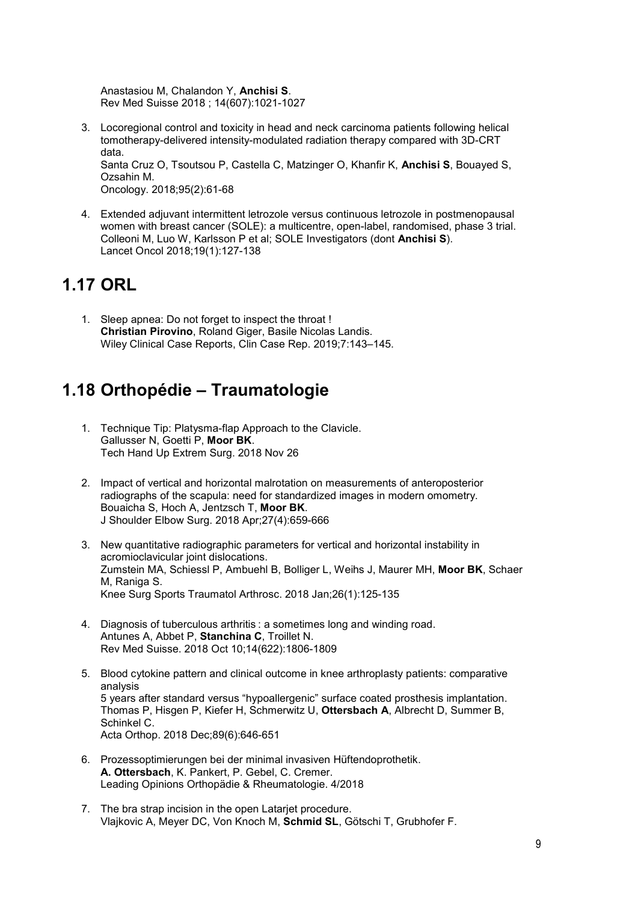Anastasiou M, Chalandon Y, **Anchisi S**. Rev Med Suisse 2018 ; 14(607):1021-1027

3. Locoregional control and toxicity in head and neck carcinoma patients following helical tomotherapy-delivered intensity-modulated radiation therapy compared with 3D-CRT data.

Santa Cruz O, Tsoutsou P, Castella C, Matzinger O, Khanfir K, **Anchisi S**, Bouayed S, Ozsahin M.

Oncology. 2018;95(2):61-68

4. Extended adjuvant intermittent letrozole versus continuous letrozole in postmenopausal women with breast cancer (SOLE): a multicentre, open-label, randomised, phase 3 trial. Colleoni M, Luo W, Karlsson P et al; SOLE Investigators (dont **Anchisi S**). Lancet Oncol 2018;19(1):127-138

### <span id="page-8-0"></span>**1.17 ORL**

1. Sleep apnea: Do not forget to inspect the throat ! **Christian Pirovino**, Roland Giger, Basile Nicolas Landis. Wiley Clinical Case Reports, Clin Case Rep. 2019;7:143–145.

### <span id="page-8-1"></span>**1.18 Orthopédie – Traumatologie**

- 1. [Technique Tip: Platysma-flap Approach to the Clavicle.](https://www.ncbi.nlm.nih.gov/pubmed/30489457) Gallusser N, Goetti P, **Moor BK**. Tech Hand Up Extrem Surg. 2018 Nov 26
- 2. [Impact of vertical and horizontal malrotation on measurements of anteroposterior](https://www.ncbi.nlm.nih.gov/pubmed/29329902)  [radiographs of the scapula: need for standardized images in modern omometry.](https://www.ncbi.nlm.nih.gov/pubmed/29329902) Bouaicha S, Hoch A, Jentzsch T, **Moor BK**. J Shoulder Elbow Surg. 2018 Apr;27(4):659-666
- 3. New quantitative radiographic parameters for vertical and horizontal instability in acromioclavicular joint dislocations. Zumstein MA, Schiessl P, Ambuehl B, Bolliger L, Weihs J, Maurer MH, **Moor BK**, Schaer M, Raniga S. Knee Surg Sports Traumatol Arthrosc. 2018 Jan;26(1):125-135
- 4. Diagnosis of tuberculous arthritis : a sometimes long and winding road. [Antunes A,](https://www.ncbi.nlm.nih.gov/pubmed/?term=Antunes%20A%5BAuthor%5D&cauthor=true&cauthor_uid=30307141) [Abbet P,](https://www.ncbi.nlm.nih.gov/pubmed/?term=Abbet%20P%5BAuthor%5D&cauthor=true&cauthor_uid=30307141) **[Stanchina](https://www.ncbi.nlm.nih.gov/pubmed/?term=Stanchina%20C%5BAuthor%5D&cauthor=true&cauthor_uid=30307141) C**, [Troillet](https://www.ncbi.nlm.nih.gov/pubmed/?term=Troillet%20N%5BAuthor%5D&cauthor=true&cauthor_uid=30307141) N. [Rev Med Suisse.](https://www.ncbi.nlm.nih.gov/pubmed/?term=stanchina+troillet) 2018 Oct 10;14(622):1806-1809
- 5. Blood cytokine pattern and clinical outcome in knee arthroplasty patients: comparative analysis 5 years after standard versus "hypoallergenic" surface coated prosthesis implantation. Thomas P, Hisgen P, Kiefer H, Schmerwitz U, **Ottersbach A**, Albrecht D, Summer B, Schinkel C. Acta Orthop. 2018 Dec;89(6):646-651
- 6. Prozessoptimierungen bei der minimal invasiven Hüftendoprothetik. **A. Ottersbach**, K. Pankert, P. Gebel, C. Cremer. Leading Opinions Orthopädie & Rheumatologie. 4/2018
- 7. The bra strap incision in the open Latarjet procedure. Vlajkovic A, Meyer DC, Von Knoch M, **Schmid SL**, Götschi T, Grubhofer F.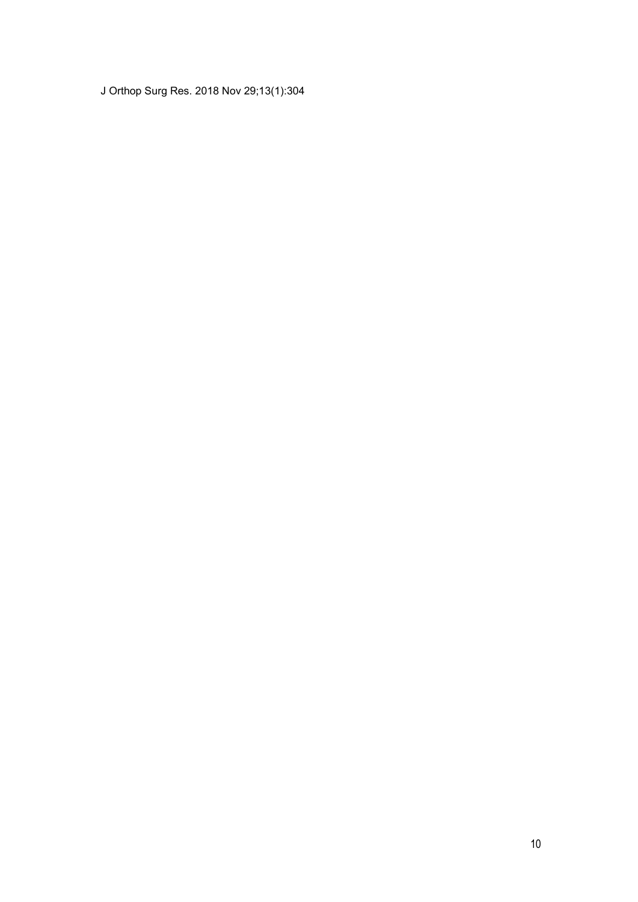J Orthop Surg Res. 2018 Nov 29;13(1):304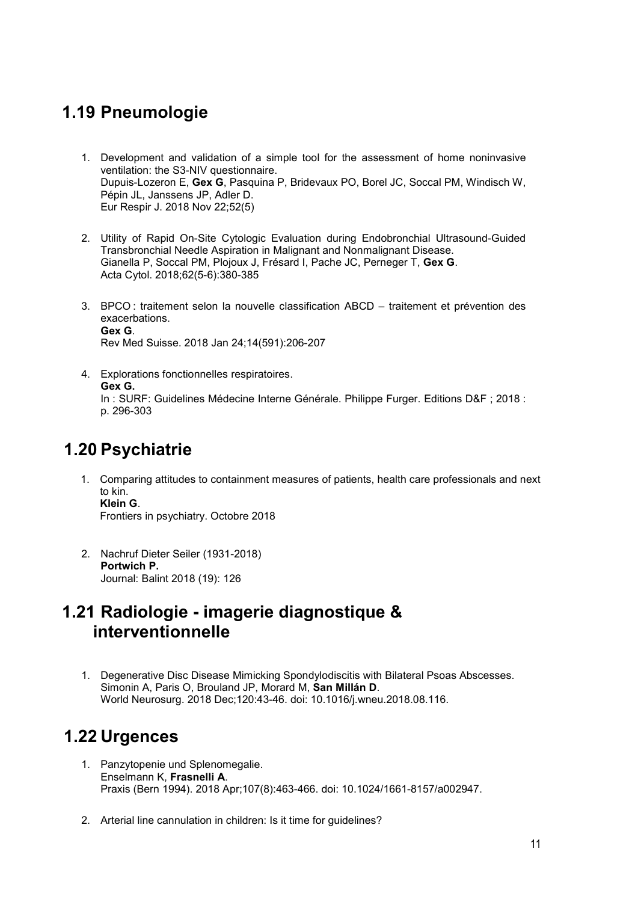### <span id="page-10-0"></span>**1.19 Pneumologie**

- 1. [Development and validation of a simple tool for the assessment of home noninvasive](https://www.ncbi.nlm.nih.gov/pubmed/30262577)  [ventilation: the S3-NIV](https://www.ncbi.nlm.nih.gov/pubmed/30262577) questionnaire. Dupuis-Lozeron E, **Gex G**, Pasquina P, Bridevaux PO, Borel JC, Soccal PM, Windisch W, Pépin JL, Janssens JP, Adler D. Eur Respir J. 2018 Nov 22;52(5)
- 2. [Utility of Rapid On-Site Cytologic Evaluation during Endobronchial Ultrasound-Guided](https://www.ncbi.nlm.nih.gov/pubmed/30244239)  [Transbronchial Needle Aspiration in Malignant and Nonmalignant Disease.](https://www.ncbi.nlm.nih.gov/pubmed/30244239) Gianella P, Soccal PM, Plojoux J, Frésard I, Pache JC, Perneger T, **Gex G**. Acta Cytol. 2018;62(5-6):380-385
- 3. [BPCO : traitement selon la nouvelle classification ABCD](https://www.ncbi.nlm.nih.gov/pubmed/29380978)  traitement et prévention des [exacerbations.](https://www.ncbi.nlm.nih.gov/pubmed/29380978) **Gex G**. Rev Med Suisse. 2018 Jan 24;14(591):206-207
- 4. Explorations fonctionnelles respiratoires. **Gex G.** In : SURF: Guidelines Médecine Interne Générale. Philippe Furger. Editions D&F ; 2018 : p. 296-303

### <span id="page-10-1"></span>**1.20 Psychiatrie**

1. Comparing attitudes to containment measures of patients, health care professionals and next to kin. **Klein G**.

Frontiers in psychiatry. Octobre 2018

2. Nachruf Dieter Seiler (1931-2018) **Portwich P.** Journal: Balint 2018 (19): 126

### <span id="page-10-2"></span>**1.21 Radiologie - imagerie diagnostique & interventionnelle**

1. [Degenerative Disc Disease Mimicking Spondylodiscitis with Bilateral Psoas Abscesses.](https://www.ncbi.nlm.nih.gov/pubmed/30149157) Simonin A, Paris O, Brouland JP, Morard M, **San Millán D**. World Neurosurg. 2018 Dec;120:43-46. doi: 10.1016/j.wneu.2018.08.116.

### <span id="page-10-3"></span>**1.22 Urgences**

- 1. Panzytopenie und Splenomegalie. Enselmann K, **Frasnelli A**. Praxis (Bern 1994). 2018 Apr;107(8):463-466. doi: 10.1024/1661-8157/a002947.
- 2. Arterial line cannulation in children: Is it time for guidelines?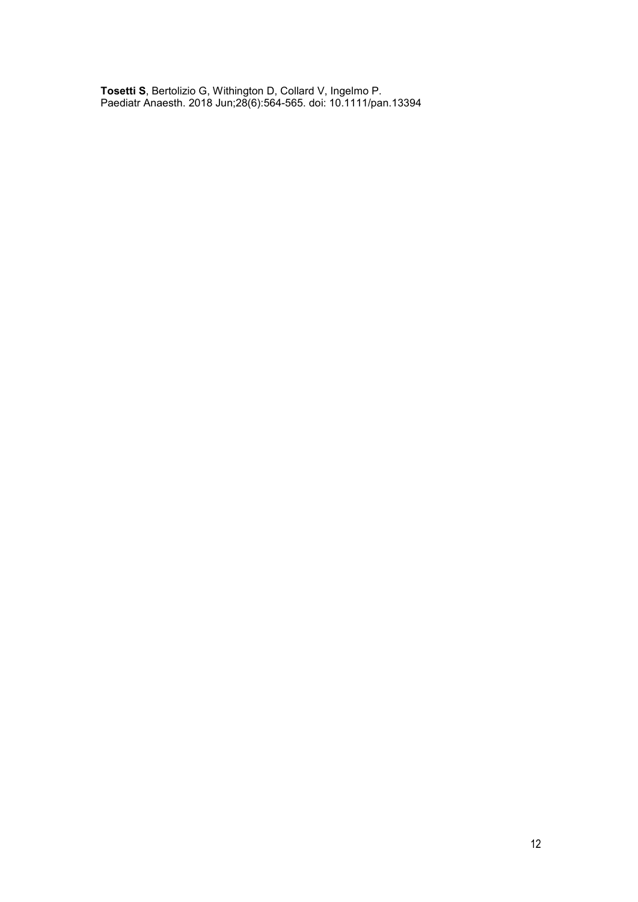**[Tosetti S](https://www.ncbi.nlm.nih.gov/pubmed/?term=Tosetti%20S%5BAuthor%5D&cauthor=true&cauthor_uid=29878541)**, [Bertolizio G,](https://www.ncbi.nlm.nih.gov/pubmed/?term=Bertolizio%20G%5BAuthor%5D&cauthor=true&cauthor_uid=29878541) [Withington D,](https://www.ncbi.nlm.nih.gov/pubmed/?term=Withington%20D%5BAuthor%5D&cauthor=true&cauthor_uid=29878541) [Collard V,](https://www.ncbi.nlm.nih.gov/pubmed/?term=Collard%20V%5BAuthor%5D&cauthor=true&cauthor_uid=29878541) [Ingelmo P.](https://www.ncbi.nlm.nih.gov/pubmed/?term=Ingelmo%20P%5BAuthor%5D&cauthor=true&cauthor_uid=29878541) [Paediatr Anaesth.](https://www.ncbi.nlm.nih.gov/pubmed/29878541) 2018 Jun;28(6):564-565. doi: 10.1111/pan.13394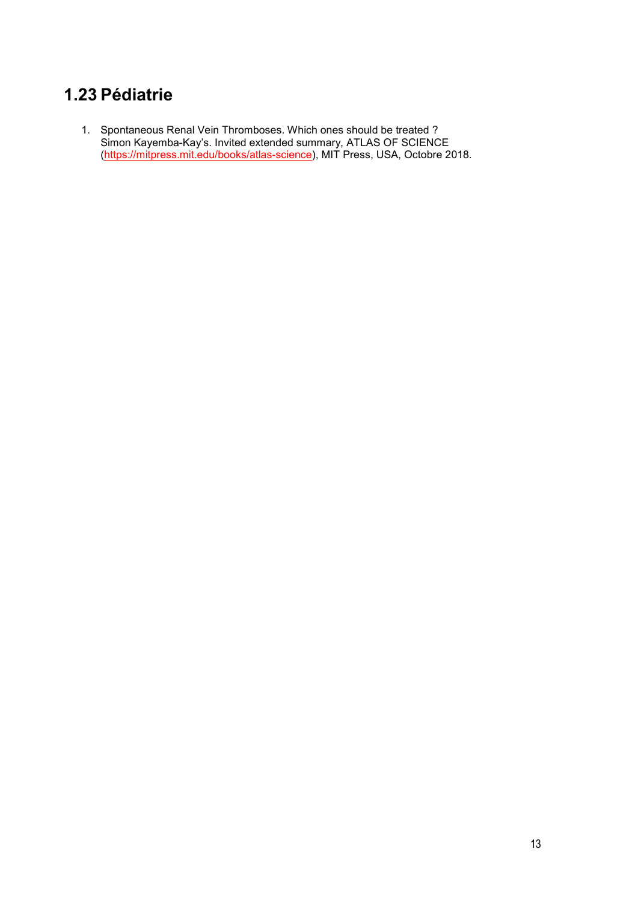# <span id="page-12-0"></span>**1.23 Pédiatrie**

1. Spontaneous Renal Vein Thromboses. Which ones should be treated ? Simon Kayemba-Kay's. Invited extended summary, ATLAS OF SCIENCE [\(https://mitpress.mit.edu/books/atlas-science\)](https://mitpress.mit.edu/books/atlas-science), MIT Press, USA, Octobre 2018.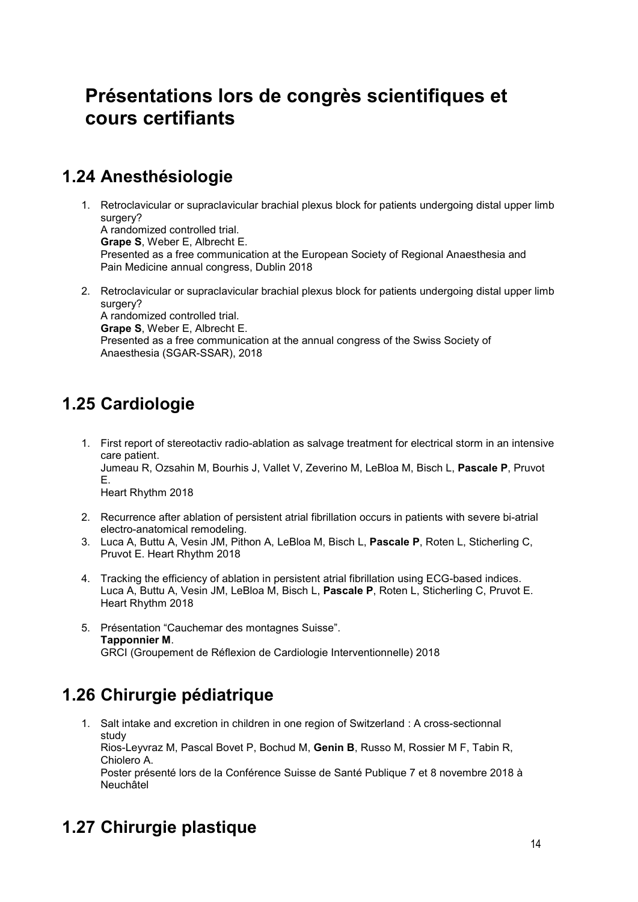# <span id="page-13-1"></span><span id="page-13-0"></span>**Présentations lors de congrès scientifiques et cours certifiants**

## <span id="page-13-2"></span>**1.24 Anesthésiologie**

- 1. Retroclavicular or supraclavicular brachial plexus block for patients undergoing distal upper limb surgery? A randomized controlled trial. **Grape S**, Weber E, Albrecht E. Presented as a free communication at the European Society of Regional Anaesthesia and Pain Medicine annual congress, Dublin 2018
- 2. Retroclavicular or supraclavicular brachial plexus block for patients undergoing distal upper limb surgery? A randomized controlled trial. **Grape S**, Weber E, Albrecht E.

Presented as a free communication at the annual congress of the Swiss Society of Anaesthesia (SGAR-SSAR), 2018

# <span id="page-13-3"></span>**1.25 Cardiologie**

1. First report of stereotactiv radio-ablation as salvage treatment for electrical storm in an intensive care patient. Jumeau R, Ozsahin M, Bourhis J, Vallet V, Zeverino M, LeBloa M, Bisch L, **Pascale P**, Pruvot E.

Heart Rhythm 2018

- 2. Recurrence after ablation of persistent atrial fibrillation occurs in patients with severe bi-atrial electro-anatomical remodeling.
- 3. Luca A, Buttu A, Vesin JM, Pithon A, LeBloa M, Bisch L, **Pascale P**, Roten L, Sticherling C, Pruvot E. Heart Rhythm 2018
- 4. Tracking the efficiency of ablation in persistent atrial fibrillation using ECG-based indices. Luca A, Buttu A, Vesin JM, LeBloa M, Bisch L, **Pascale P**, Roten L, Sticherling C, Pruvot E. Heart Rhythm 2018
- 5. Présentation "Cauchemar des montagnes Suisse". **Tapponnier M**. GRCI (Groupement de Réflexion de Cardiologie Interventionnelle) 2018

# <span id="page-13-4"></span>**1.26 Chirurgie pédiatrique**

1. Salt intake and excretion in children in one region of Switzerland : A cross-sectionnal study Rios-Leyvraz M, Pascal Bovet P, Bochud M, **Genin B**, Russo M, Rossier M F, Tabin R, Chiolero A. Poster présenté lors de la Conférence Suisse de Santé Publique 7 et 8 novembre 2018 à Neuchâtel

# <span id="page-13-5"></span>**1.27 Chirurgie plastique**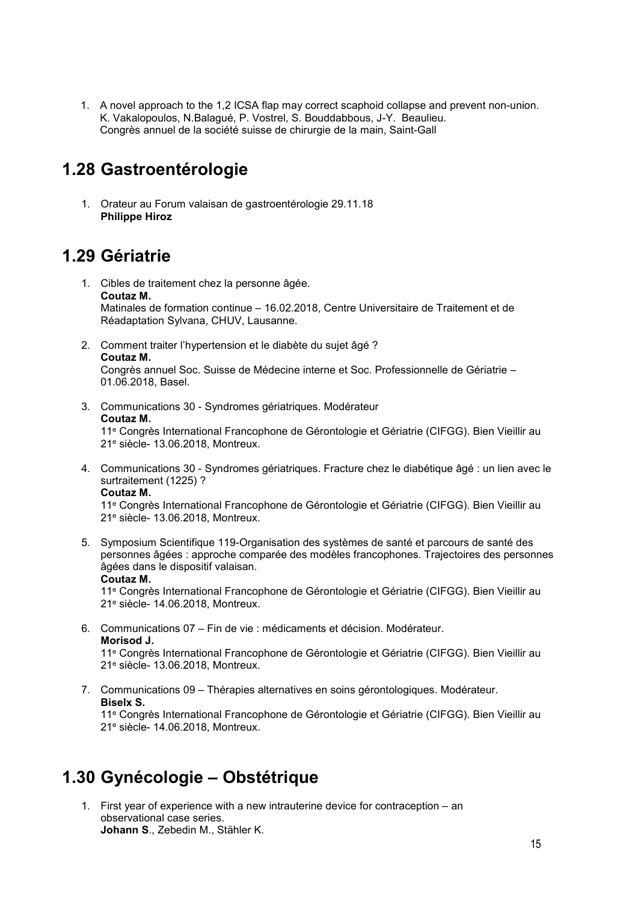1. A novel approach to the 1,2 ICSA flap may correct scaphoid collapse and prevent non-union. K. Vakalopoulos, N.Balagué, P. Vostrel, S. Bouddabbous, J-Y. Beaulieu. Congrès annuel de la société suisse de chirurgie de la main, Saint-Gall

## <span id="page-14-0"></span>**1.28 Gastroentérologie**

1. Orateur au Forum valaisan de gastroentérologie 29.11.18 **Philippe Hiroz**

### <span id="page-14-1"></span>**1.29 Gériatrie**

- 1. Cibles de traitement chez la personne âgée. **Coutaz M.** Matinales de formation continue – 16.02.2018, Centre Universitaire de Traitement et de Réadaptation Sylvana, CHUV, Lausanne.
- 2. Comment traiter l'hypertension et le diabète du sujet âgé ? **Coutaz M.** Congrès annuel Soc. Suisse de Médecine interne et Soc. Professionnelle de Gériatrie –
	- 01.06.2018, Basel.
- 3. Communications 30 Syndromes gériatriques. Modérateur **Coutaz M.** 11e Congrès International Francophone de Gérontologie et Gériatrie (CIFGG). Bien Vieillir au

21e siècle- 13.06.2018, Montreux.

4. Communications 30 - Syndromes gériatriques. Fracture chez le diabétique âgé : un lien avec le surtraitement (1225) ? **Coutaz M.**

11e Congrès International Francophone de Gérontologie et Gériatrie (CIFGG). Bien Vieillir au 21e siècle- 13.06.2018, Montreux.

5. Symposium Scientifique 119-Organisation des systèmes de santé et parcours de santé des personnes âgées : approche comparée des modèles francophones. Trajectoires des personnes âgées dans le dispositif valaisan. **Coutaz M.**

11e Congrès International Francophone de Gérontologie et Gériatrie (CIFGG). Bien Vieillir au 21e siècle- 14.06.2018, Montreux.

6. Communications 07 – Fin de vie : médicaments et décision. Modérateur. **Morisod J.**

11e Congrès International Francophone de Gérontologie et Gériatrie (CIFGG). Bien Vieillir au 21e siècle- 13.06.2018, Montreux.

7. Communications 09 – Thérapies alternatives en soins gérontologiques. Modérateur. **Biselx S.**

11e Congrès International Francophone de Gérontologie et Gériatrie (CIFGG). Bien Vieillir au 21e siècle- 14.06.2018, Montreux.

### <span id="page-14-2"></span>**1.30 Gynécologie – Obstétrique**

1. First year of experience with a new intrauterine device for contraception – an observational case series. **Johann S**., Zebedin M., Stähler K.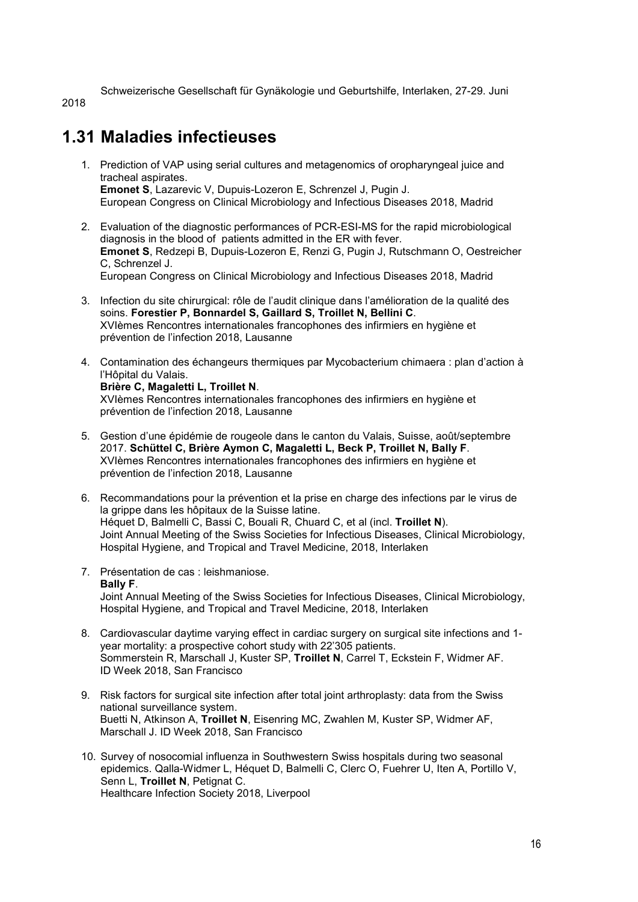Schweizerische Gesellschaft für Gynäkologie und Geburtshilfe, Interlaken, 27-29. Juni

2018

# <span id="page-15-0"></span>**1.31 Maladies infectieuses**

- 1. Prediction of VAP using serial cultures and metagenomics of oropharyngeal juice and tracheal aspirates. **Emonet S**, Lazarevic V, Dupuis-Lozeron E, Schrenzel J, Pugin J. European Congress on Clinical Microbiology and Infectious Diseases 2018, Madrid
- 2. Evaluation of the diagnostic performances of PCR-ESI-MS for the rapid microbiological diagnosis in the blood of patients admitted in the ER with fever. **Emonet S**, Redzepi B, Dupuis-Lozeron E, Renzi G, Pugin J, Rutschmann O, Oestreicher C, Schrenzel J. European Congress on Clinical Microbiology and Infectious Diseases 2018, Madrid
- 3. Infection du site chirurgical: rôle de l'audit clinique dans l'amélioration de la qualité des soins. **Forestier P, Bonnardel S, Gaillard S, Troillet N, Bellini C**. XVIèmes Rencontres internationales francophones des infirmiers en hygiène et prévention de l'infection 2018, Lausanne
- 4. Contamination des échangeurs thermiques par Mycobacterium chimaera : plan d'action à l'Hôpital du Valais.

#### **Brière C, Magaletti L, Troillet N**.

XVIèmes Rencontres internationales francophones des infirmiers en hygiène et prévention de l'infection 2018, Lausanne

- 5. Gestion d'une épidémie de rougeole dans le canton du Valais, Suisse, août/septembre 2017. **Schüttel C, Brière Aymon C, Magaletti L, Beck P, Troillet N, Bally F**. XVIèmes Rencontres internationales francophones des infirmiers en hygiène et prévention de l'infection 2018, Lausanne
- 6. Recommandations pour la prévention et la prise en charge des infections par le virus de la grippe dans les hôpitaux de la Suisse latine. Héquet D, Balmelli C, Bassi C, Bouali R, Chuard C, et al (incl. **Troillet N**). Joint Annual Meeting of the Swiss Societies for Infectious Diseases, Clinical Microbiology, Hospital Hygiene, and Tropical and Travel Medicine, 2018, Interlaken
- 7. Présentation de cas : leishmaniose. **Bally F**. Joint Annual Meeting of the Swiss Societies for Infectious Diseases, Clinical Microbiology, Hospital Hygiene, and Tropical and Travel Medicine, 2018, Interlaken
- 8. Cardiovascular daytime varying effect in cardiac surgery on surgical site infections and 1 year mortality: a prospective cohort study with 22'305 patients. Sommerstein R, Marschall J, Kuster SP, **Troillet N**, Carrel T, Eckstein F, Widmer AF. ID Week 2018, San Francisco
- 9. Risk factors for surgical site infection after total joint arthroplasty: data from the Swiss national surveillance system. Buetti N, Atkinson A, **Troillet N**, Eisenring MC, Zwahlen M, Kuster SP, Widmer AF, Marschall J. ID Week 2018, San Francisco
- 10. Survey of nosocomial influenza in Southwestern Swiss hospitals during two seasonal epidemics. Qalla-Widmer L, Héquet D, Balmelli C, Clerc O, Fuehrer U, Iten A, Portillo V, Senn L, **Troillet N**, Petignat C. Healthcare Infection Society 2018, Liverpool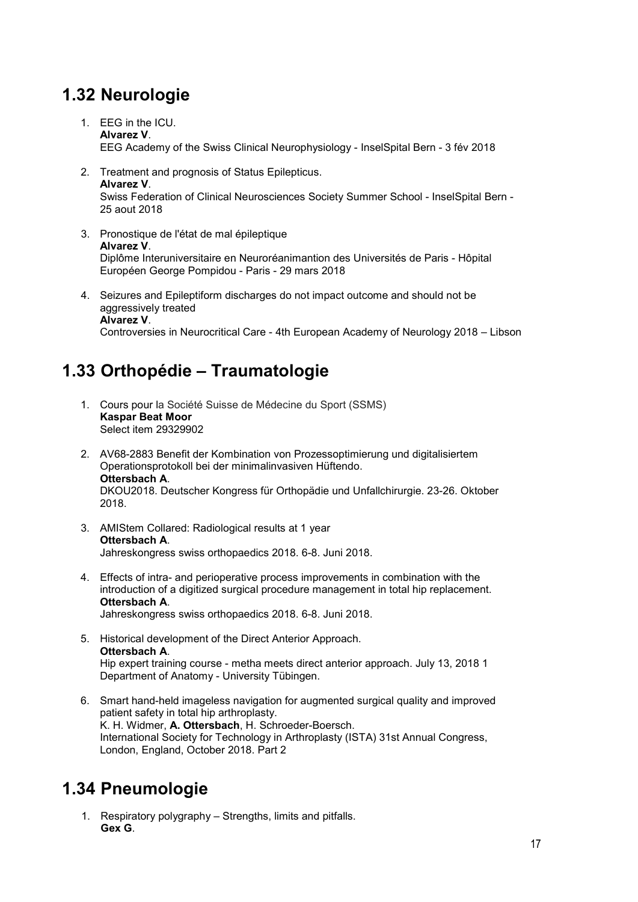# <span id="page-16-0"></span>**1.32 Neurologie**

- 1. EEG in the ICU. **Alvarez V**. EEG Academy of the Swiss Clinical Neurophysiology - InselSpital Bern - 3 fév 2018
- 2. Treatment and prognosis of Status Epilepticus. **Alvarez V**. Swiss Federation of Clinical Neurosciences Society Summer School - InselSpital Bern - 25 aout 2018
- 3. Pronostique de l'état de mal épileptique **Alvarez V**. Diplôme Interuniversitaire en Neuroréanimantion des Universités de Paris - Hôpital Européen George Pompidou - Paris - 29 mars 2018
- 4. Seizures and Epileptiform discharges do not impact outcome and should not be aggressively treated **Alvarez V**. Controversies in Neurocritical Care - 4th European Academy of Neurology 2018 – Libson

## <span id="page-16-1"></span>**1.33 Orthopédie – Traumatologie**

- 1. Cours pour la Société Suisse de Médecine du Sport (SSMS) **Kaspar Beat Moor** Select item 29329902
- 2. AV68-2883 Benefit der Kombination von Prozessoptimierung und digitalisiertem Operationsprotokoll bei der minimalinvasiven Hüftendo. **Ottersbach A**. DKOU2018. Deutscher Kongress für Orthopädie und Unfallchirurgie. 23-26. Oktober 2018.
- 3. AMIStem Collared: Radiological results at 1 year **Ottersbach A**. Jahreskongress swiss orthopaedics 2018. 6-8. Juni 2018.
- 4. Effects of intra- and perioperative process improvements in combination with the introduction of a digitized surgical procedure management in total hip replacement. **Ottersbach A**. Jahreskongress swiss orthopaedics 2018. 6-8. Juni 2018.
- 5. Historical development of the Direct Anterior Approach. **Ottersbach A**. Hip expert training course - metha meets direct anterior approach. July 13, 2018 1 Department of Anatomy - University Tübingen.
- 6. Smart hand-held imageless navigation for augmented surgical quality and improved patient safety in total hip arthroplasty. K. H. Widmer, **A. Ottersbach**, H. Schroeder-Boersch. International Society for Technology in Arthroplasty (ISTA) 31st Annual Congress, London, England, October 2018. Part 2

### <span id="page-16-2"></span>**1.34 Pneumologie**

1. Respiratory polygraphy – Strengths, limits and pitfalls. **Gex G**.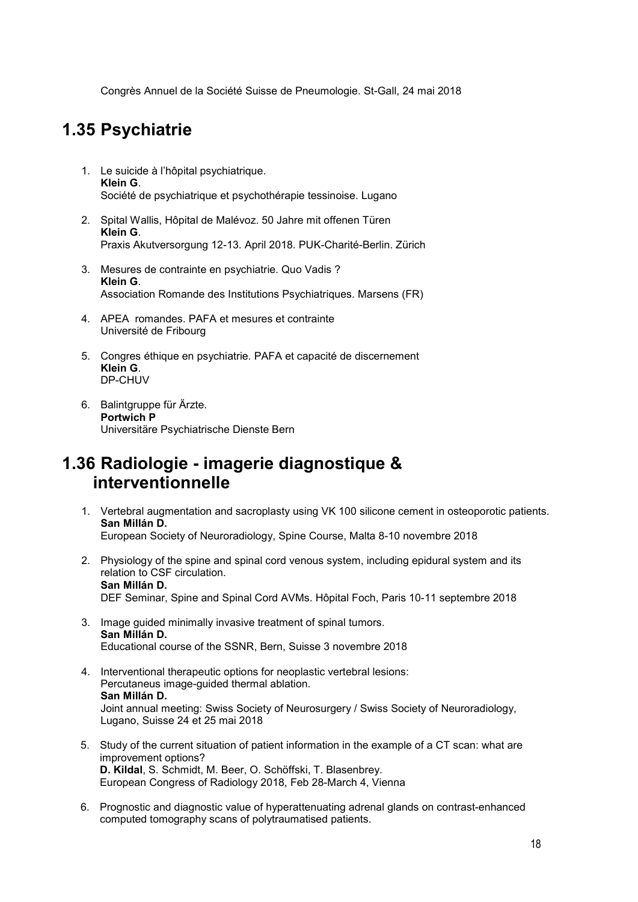Congrès Annuel de la Société Suisse de Pneumologie. St-Gall, 24 mai 2018

### <span id="page-17-0"></span>**1.35 Psychiatrie**

- 1. Le suicide à l'hôpital psychiatrique. **Klein G**. Société de psychiatrique et psychothérapie tessinoise. Lugano
- 2. Spital Wallis, Hôpital de Malévoz. 50 Jahre mit offenen Türen **Klein G**. Praxis Akutversorgung 12-13. April 2018. PUK-Charité-Berlin. Zürich
- 3. Mesures de contrainte en psychiatrie. Quo Vadis ? **Klein G**. Association Romande des Institutions Psychiatriques. Marsens (FR)
- 4. APEA romandes. PAFA et mesures et contrainte Université de Fribourg
- 5. Congres éthique en psychiatrie. PAFA et capacité de discernement **Klein G**. DP-CHUV
- 6. Balintgruppe für Ärzte. **Portwich P** Universitäre Psychiatrische Dienste Bern

#### <span id="page-17-1"></span>**1.36 Radiologie - imagerie diagnostique & interventionnelle**

- 1. Vertebral augmentation and sacroplasty using VK 100 silicone cement in osteoporotic patients. **San Millán D.** European Society of Neuroradiology, Spine Course, Malta 8-10 novembre 2018
- 2. Physiology of the spine and spinal cord venous system, including epidural system and its relation to CSF circulation. **San Millán D.** DEF Seminar, Spine and Spinal Cord AVMs. Hôpital Foch, Paris 10-11 septembre 2018
- 3. Image guided minimally invasive treatment of spinal tumors. **San Millán D.** Educational course of the SSNR, Bern, Suisse 3 novembre 2018
- 4. Interventional therapeutic options for neoplastic vertebral lesions: Percutaneus image-guided thermal ablation. **San Millán D.** Joint annual meeting: Swiss Society of Neurosurgery / Swiss Society of Neuroradiology, Lugano, Suisse 24 et 25 mai 2018
- 5. Study of the current situation of patient information in the example of a CT scan: what are improvement options? **D. Kildal**, S. Schmidt, M. Beer, O. Schöffski, T. Blasenbrey. European Congress of Radiology 2018, Feb 28-March 4, Vienna
- 6. Prognostic and diagnostic value of hyperattenuating adrenal glands on contrast-enhanced computed tomography scans of polytraumatised patients.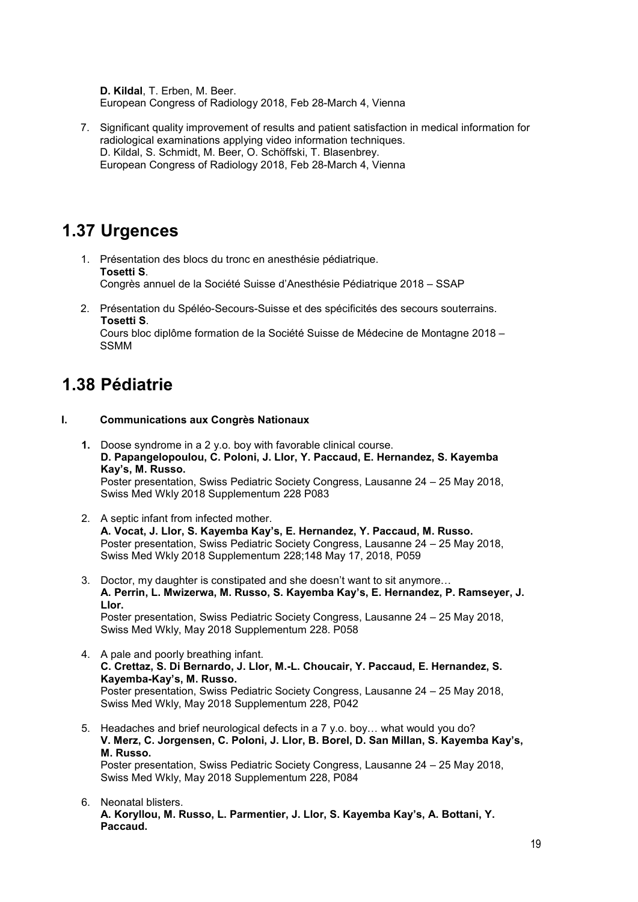**D. Kildal**, T. Erben, M. Beer. European Congress of Radiology 2018, Feb 28-March 4, Vienna

7. Significant quality improvement of results and patient satisfaction in medical information for radiological examinations applying video information techniques. D. Kildal, S. Schmidt, M. Beer, O. Schöffski, T. Blasenbrey. European Congress of Radiology 2018, Feb 28-March 4, Vienna

### <span id="page-18-0"></span>**1.37 Urgences**

- 1. Présentation des blocs du tronc en anesthésie pédiatrique. **Tosetti S**. Congrès annuel de la Société Suisse d'Anesthésie Pédiatrique 2018 – SSAP
- 2. Présentation du Spéléo-Secours-Suisse et des spécificités des secours souterrains. **Tosetti S**.

Cours bloc diplôme formation de la Société Suisse de Médecine de Montagne 2018 – SSMM

### <span id="page-18-1"></span>**1.38 Pédiatrie**

#### **I. Communications aux Congrès Nationaux**

- **1.** Doose syndrome in a 2 y.o. boy with favorable clinical course. **D. Papangelopoulou, C. Poloni, J. Llor, Y. Paccaud, E. Hernandez, S. Kayemba Kay's, M. Russo.** Poster presentation, Swiss Pediatric Society Congress, Lausanne 24 – 25 May 2018, Swiss Med Wkly 2018 Supplementum 228 P083
- 2. A septic infant from infected mother. **A. Vocat, J. Llor, S. Kayemba Kay's, E. Hernandez, Y. Paccaud, M. Russo.** Poster presentation, Swiss Pediatric Society Congress, Lausanne 24 – 25 May 2018, Swiss Med Wkly 2018 Supplementum 228;148 May 17, 2018, P059
- 3. Doctor, my daughter is constipated and she doesn't want to sit anymore… **A. Perrin, L. Mwizerwa, M. Russo, S. Kayemba Kay's, E. Hernandez, P. Ramseyer, J. Llor.** Poster presentation, Swiss Pediatric Society Congress, Lausanne 24 – 25 May 2018, Swiss Med Wkly, May 2018 Supplementum 228. P058
- 4. A pale and poorly breathing infant. **C. Crettaz, S. Di Bernardo, J. Llor, M.-L. Choucair, Y. Paccaud, E. Hernandez, S. Kayemba-Kay's, M. Russo.** Poster presentation, Swiss Pediatric Society Congress, Lausanne 24 – 25 May 2018, Swiss Med Wkly, May 2018 Supplementum 228, P042
- 5. Headaches and brief neurological defects in a 7 y.o. boy… what would you do? **V. Merz, C. Jorgensen, C. Poloni, J. Llor, B. Borel, D. San Millan, S. Kayemba Kay's, M. Russo.** Poster presentation, Swiss Pediatric Society Congress, Lausanne 24 – 25 May 2018, Swiss Med Wkly, May 2018 Supplementum 228, P084
- 6. Neonatal blisters. **A. Koryllou, M. Russo, L. Parmentier, J. Llor, S. Kayemba Kay's, A. Bottani, Y. Paccaud.**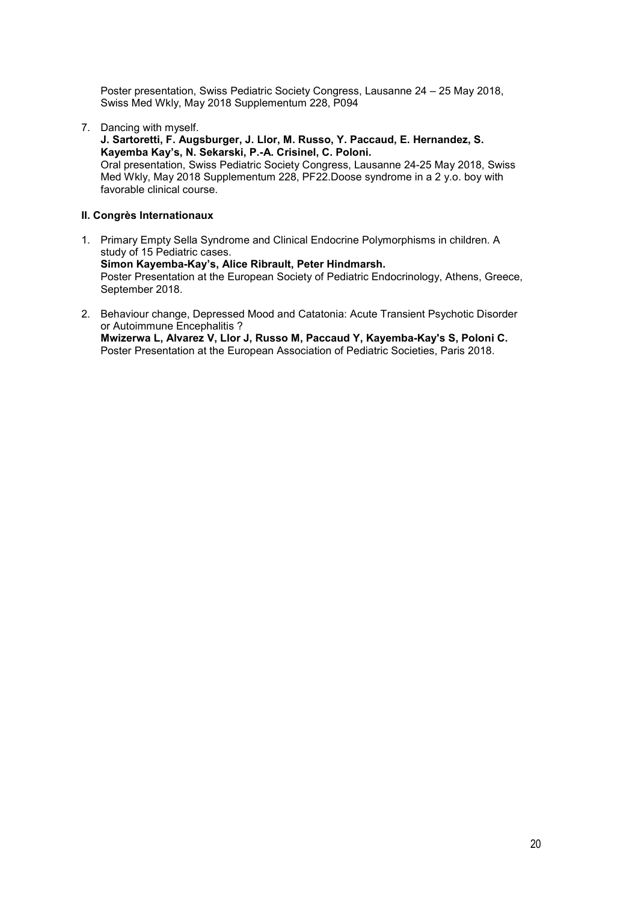Poster presentation, Swiss Pediatric Society Congress, Lausanne 24 – 25 May 2018, Swiss Med Wkly, May 2018 Supplementum 228, P094

7. Dancing with myself.

**J. Sartoretti, F. Augsburger, J. Llor, M. Russo, Y. Paccaud, E. Hernandez, S. Kayemba Kay's, N. Sekarski, P.-A. Crisinel, C. Poloni.**

Oral presentation, Swiss Pediatric Society Congress, Lausanne 24-25 May 2018, Swiss Med Wkly, May 2018 Supplementum 228, PF22.Doose syndrome in a 2 y.o. boy with favorable clinical course.

#### **II. Congrès Internationaux**

- 1. Primary Empty Sella Syndrome and Clinical Endocrine Polymorphisms in children. A study of 15 Pediatric cases. **Simon Kayemba-Kay's, Alice Ribrault, Peter Hindmarsh.** Poster Presentation at the European Society of Pediatric Endocrinology, Athens, Greece, September 2018.
- 2. Behaviour change, Depressed Mood and Catatonia: Acute Transient Psychotic Disorder or Autoimmune Encephalitis ? **Mwizerwa L, [Alvarez V,](https://www.researchgate.net/scientific-contributions/2153999497_Alvarez_V) [Llor J,](https://www.researchgate.net/scientific-contributions/2154006681_Llor_J) [Russo M,](https://www.researchgate.net/scientific-contributions/2154002063_M_Russo) [Paccaud Y,](https://www.researchgate.net/scientific-contributions/2154012774_Paccaud_Y) [Kayemba-Kay's](https://www.researchgate.net/profile/Simon_KAYEMBA-KAYS) S, Poloni C.**  Poster Presentation at the European Association of Pediatric Societies, Paris 2018.